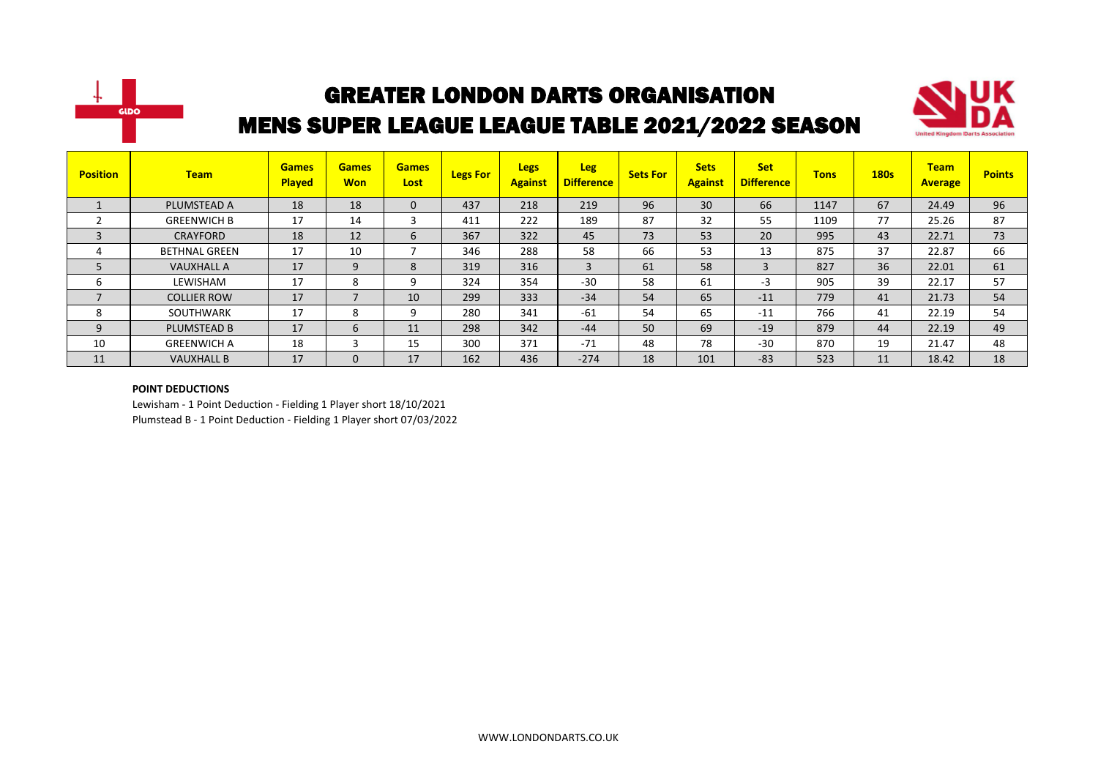



| <b>Position</b> | <b>Team</b>          | <b>Games</b><br><b>Played</b> | <b>Games</b><br><b>Won</b> | <b>Games</b><br>Lost | <b>Legs For</b> | <b>Legs</b><br><b>Against</b> | <b>Leg</b><br><b>Difference</b> | <b>Sets For</b> | <b>Sets</b><br><b>Against</b> | <b>Set</b><br><b>Difference</b> | <b>Tons</b> | <b>180s</b> | <b>Team</b><br><b>Average</b> | <b>Points</b> |
|-----------------|----------------------|-------------------------------|----------------------------|----------------------|-----------------|-------------------------------|---------------------------------|-----------------|-------------------------------|---------------------------------|-------------|-------------|-------------------------------|---------------|
|                 | PLUMSTEAD A          | 18                            | 18                         | $\mathbf{0}$         | 437             | 218                           | 219                             | 96              | 30                            | 66                              | 1147        | 67          | 24.49                         | 96            |
|                 | <b>GREENWICH B</b>   | 17                            | 14                         | 3                    | 411             | 222                           | 189                             | 87              | 32                            | 55                              | 1109        | 77          | 25.26                         | 87            |
|                 | <b>CRAYFORD</b>      | 18                            | 12                         | 6                    | 367             | 322                           | 45                              | 73              | 53                            | 20                              | 995         | 43          | 22.71                         | 73            |
|                 | <b>BETHNAL GREEN</b> | 17                            | 10                         |                      | 346             | 288                           | 58                              | 66              | 53                            | 13                              | 875         | 37          | 22.87                         | 66            |
|                 | <b>VAUXHALL A</b>    | 17                            | 9                          | 8                    | 319             | 316                           | 3                               | 61              | 58                            | 3                               | 827         | 36          | 22.01                         | 61            |
| b               | LEWISHAM             | 17                            | 8                          | 9                    | 324             | 354                           | $-30$                           | 58              | 61                            | $-3$                            | 905         | 39          | 22.17                         | 57            |
|                 | <b>COLLIER ROW</b>   | 17                            | $\overline{\phantom{a}}$   | 10                   | 299             | 333                           | $-34$                           | 54              | 65                            | $-11$                           | 779         | 41          | 21.73                         | 54            |
| 8               | SOUTHWARK            | 17                            | 8                          | 9                    | 280             | 341                           | $-61$                           | 54              | 65                            | $-11$                           | 766         | 41          | 22.19                         | 54            |
| 9               | <b>PLUMSTEAD B</b>   | 17                            | 6                          | 11                   | 298             | 342                           | $-44$                           | 50              | 69                            | $-19$                           | 879         | 44          | 22.19                         | 49            |
| 10              | <b>GREENWICH A</b>   | 18                            | 3                          | 15                   | 300             | 371                           | $-71$                           | 48              | 78                            | $-30$                           | 870         | 19          | 21.47                         | 48            |
| 11              | <b>VAUXHALL B</b>    | 17                            | $\mathbf{0}$               | 17                   | 162             | 436                           | $-274$                          | 18              | 101                           | $-83$                           | 523         | 11          | 18.42                         | 18            |

#### **POINT DEDUCTIONS**

Lewisham - 1 Point Deduction - Fielding 1 Player short 18/10/2021 Plumstead B - 1 Point Deduction - Fielding 1 Player short 07/03/2022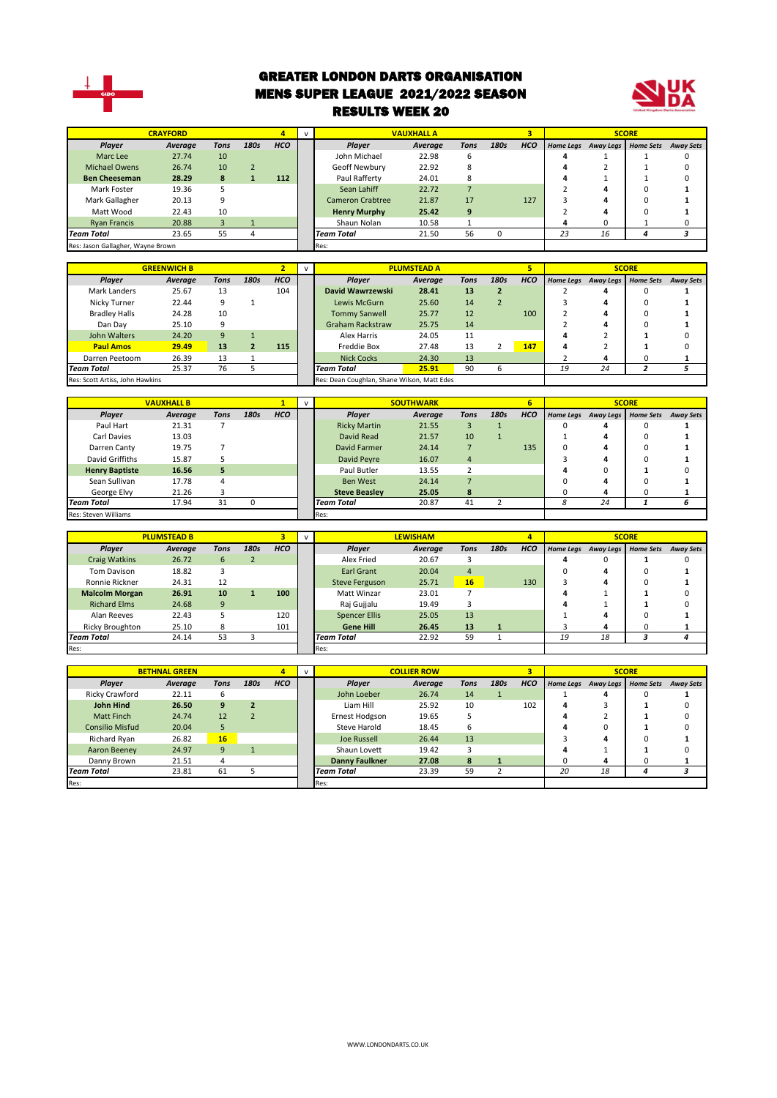

#### GREATER LONDON DARTS ORGANISATION MENS SUPER LEAGUE 2021/2022 SEASON RESULTS WEEK 20



| <b>CRAYFORD</b><br>4                        |                      |                | $\mathsf{v}$            |                         | <b>VAUXHALL A</b> |                         |                    | 3              |                |                         | <b>SCORE</b>     |                     |                  |                  |
|---------------------------------------------|----------------------|----------------|-------------------------|-------------------------|-------------------|-------------------------|--------------------|----------------|----------------|-------------------------|------------------|---------------------|------------------|------------------|
| Player                                      | Average              | <b>Tons</b>    | 180s                    | <b>HCO</b>              |                   | Player                  | <b>Average</b>     | <b>Tons</b>    | 180s           | <b>HCO</b>              |                  | Home Legs Away Legs | <b>Home Sets</b> | <b>Away Sets</b> |
| Marc Lee                                    | 27.74                | 10             |                         |                         |                   | John Michael            | 22.98              | 6              |                |                         | 4                | $\mathbf{1}$        | 1                | 0                |
| <b>Michael Owens</b>                        | 26.74                | 10             | $\overline{2}$          |                         |                   | Geoff Newbury           | 22.92              | 8              |                |                         | 4                | $\overline{2}$      | $\mathbf{1}$     | $\Omega$         |
| <b>Ben Cheeseman</b>                        | 28.29                | 8              | $\mathbf{1}$            | 112                     |                   | Paul Rafferty           | 24.01              | 8              |                |                         | 4                | $\mathbf{1}$        | $\mathbf{1}$     | 0                |
| Mark Foster                                 | 19.36                | 5              |                         |                         |                   | Sean Lahiff             | 22.72              | $\overline{7}$ |                |                         | 2                | 4                   | $\Omega$         | 1                |
| Mark Gallagher                              | 20.13                | 9              |                         |                         |                   | <b>Cameron Crabtree</b> | 21.87              | 17             |                | 127                     | 3                | 4                   | $\Omega$         | 1                |
| Matt Wood                                   | 22.43                | 10             |                         |                         |                   | <b>Henry Murphy</b>     | 25.42              | 9              |                |                         | $\overline{2}$   | 4                   | $\mathbf 0$      | 1                |
| <b>Ryan Francis</b>                         | 20.88                | 3              | $\mathbf{1}$            |                         |                   | Shaun Nolan             | 10.58              | $\mathbf{1}$   |                |                         | 4                | 0                   | $\mathbf{1}$     | 0                |
| Team Total                                  | 23.65                | 55             | $\overline{4}$          |                         |                   | <b>Team Total</b>       | 21.50              | 56             | 0              |                         | 23               | 16                  | $\overline{a}$   | 3                |
| Res: Jason Gallagher, Wayne Brown           |                      |                |                         |                         |                   | Res:                    |                    |                |                |                         |                  |                     |                  |                  |
|                                             |                      |                |                         |                         |                   |                         |                    |                |                |                         |                  |                     |                  |                  |
|                                             | <b>GREENWICH B</b>   |                |                         | $\overline{2}$          | $\mathsf{v}$      |                         | <b>PLUMSTEAD A</b> |                |                | $\overline{\mathbf{5}}$ |                  |                     | <b>SCORE</b>     |                  |
| Player                                      | <b>Average</b>       | <b>Tons</b>    | 180s                    | <b>HCO</b>              |                   | Player                  | Average            | <b>Tons</b>    | 180s           | <b>HCO</b>              |                  | Home Legs Away Legs | <b>Home Sets</b> | <b>Away Sets</b> |
| Mark Landers                                | 25.67                | 13             |                         | 104                     |                   | David Wawrzewski        | 28.41              | 13             | $\overline{2}$ |                         | 2                | 4                   | 0                | $\mathbf{1}$     |
| Nicky Turner                                | 22.44                | 9              | $\mathbf{1}$            |                         |                   | Lewis McGurn            | 25.60              | 14             | $\overline{2}$ |                         | 3                | 4                   | $\Omega$         | $\mathbf{1}$     |
| <b>Bradley Halls</b>                        | 24.28                | 10             |                         |                         |                   | <b>Tommy Sanwell</b>    | 25.77              | 12             |                | 100                     | $\overline{2}$   | 4                   | $\Omega$         | $\mathbf{1}$     |
| Dan Day                                     | 25.10                | 9              |                         |                         |                   | <b>Graham Rackstraw</b> | 25.75              | 14             |                |                         | $\overline{2}$   | 4                   | $\Omega$         | 1                |
| John Walters                                | 24.20                | 9              | $\mathbf 1$             |                         |                   | <b>Alex Harris</b>      | 24.05              | 11             |                |                         | $\Delta$         | $\overline{2}$      | 1                | 0                |
| <b>Paul Amos</b>                            | 29.49                | 13             | $\overline{\mathbf{2}}$ | 115                     |                   | <b>Freddie Box</b>      | 27.48              | 13             | $\overline{2}$ | 147                     | 4                | $\overline{2}$      | $\mathbf{1}$     | 0                |
| Darren Peetoom                              | 26.39                | 13             | $\mathbf 1$             |                         |                   | <b>Nick Cocks</b>       | 24.30              | 13             |                |                         | $\overline{2}$   | 4                   | 0                | 1                |
| Team Total                                  | 25.37                | 76             | 5                       |                         |                   | Team Total              | 25.91              | 90             | 6              |                         | 19               | 24                  | $\overline{a}$   | 5                |
| Res: Scott Artiss, John Hawkins             |                      |                |                         |                         |                   |                         |                    |                |                |                         |                  |                     |                  |                  |
| Res: Dean Coughlan, Shane Wilson, Matt Edes |                      |                |                         |                         |                   |                         |                    |                |                |                         |                  |                     |                  |                  |
|                                             | <b>VAUXHALL B</b>    |                |                         | $\mathbf{1}$            | $\mathsf{v}$      |                         | <b>SOUTHWARK</b>   |                |                | 6                       |                  |                     | <b>SCORE</b>     |                  |
| Player                                      | <b>Average</b>       | <b>Tons</b>    | 180s                    | <b>HCO</b>              |                   | Player                  | Average            | <b>Tons</b>    | 180s           | HCO                     | <b>Home Legs</b> | <b>Away Legs</b>    | <b>Home Sets</b> | <b>Away Sets</b> |
| Paul Hart                                   | 21.31                | 7              |                         |                         |                   | <b>Ricky Martin</b>     | 21.55              | $\overline{3}$ | $\mathbf{1}$   |                         | 0                | 4                   | $\Omega$         | 1                |
| Carl Davies                                 | 13.03                |                |                         |                         |                   | David Read              | 21.57              | 10             | $\mathbf{1}$   |                         | $\mathbf 1$      | 4                   | $\Omega$         | 1                |
| Darren Canty                                | 19.75                | $\overline{7}$ |                         |                         |                   | <b>David Farmer</b>     | 24.14              | $\overline{7}$ |                | 135                     | $\mathbf 0$      | 4                   | $\Omega$         | 1                |
| David Griffiths                             | 15.87                | 5              |                         |                         |                   | David Peyre             | 16.07              | $\overline{4}$ |                |                         | 3                | 4                   | $\Omega$         | 1                |
| <b>Henry Baptiste</b>                       | 16.56                | 5              |                         |                         |                   | Paul Butler             | 13.55              | $\overline{2}$ |                |                         | 4                | $\Omega$            | 1                | $\Omega$         |
| Sean Sullivan                               | 17.78                | $\overline{4}$ |                         |                         |                   | <b>Ben West</b>         | 24.14              | $\overline{7}$ |                |                         | $\Omega$         | 4                   | $\Omega$         | 1                |
| George Elvy                                 | 21.26                | 3              |                         |                         |                   | <b>Steve Beasley</b>    | 25.05              | 8              |                |                         | 0                | 4                   | 0                | 1                |
| <b>Team Total</b>                           | 17.94                | 31             | $\pmb{0}$               |                         |                   | <b>Team Total</b>       | 20.87              | 41             | $\mathbf 2$    |                         | 8                | 24                  | $\mathbf{1}$     | 6                |
| Res: Steven Williams                        |                      |                |                         |                         |                   | Res:                    |                    |                |                |                         |                  |                     |                  |                  |
|                                             |                      |                |                         |                         |                   |                         |                    |                |                |                         |                  |                     |                  |                  |
|                                             | <b>PLUMSTEAD B</b>   |                |                         | $\overline{\mathbf{3}}$ | $\mathsf{v}$      |                         | <b>LEWISHAM</b>    |                |                | $\overline{4}$          |                  |                     | <b>SCORE</b>     |                  |
| Player                                      | Average              | <b>Tons</b>    | 180s                    | <b>HCO</b>              |                   | Player                  | Average            | <b>Tons</b>    | 180s           | <b>HCO</b>              |                  | Home Legs Away Legs | <b>Home Sets</b> | <b>Away Sets</b> |
| <b>Craig Watkins</b>                        | 26.72                | 6              | $\overline{2}$          |                         |                   | Alex Fried              | 20.67              | 3              |                |                         | 4                | 0                   | 1                | 0                |
| <b>Tom Davison</b>                          | 18.82                | 3              |                         |                         |                   | <b>Earl Grant</b>       | 20.04              | $\sqrt{4}$     |                |                         | $\mathbf 0$      | 4                   | 0                | $\mathbf{1}$     |
| Ronnie Rickner                              | 24.31                | 12             |                         |                         |                   | <b>Steve Ferguson</b>   | 25.71              | 16             |                | 130                     | 3                | 4                   | $\Omega$         | 1                |
| <b>Malcolm Morgan</b>                       | 26.91                | 10             | $\mathbf{1}$            | 100                     |                   | Matt Winzar             | 23.01              | $\overline{7}$ |                |                         | 4                | $\mathbf{1}$        | 1                | $\Omega$         |
| <b>Richard Elms</b>                         | 24.68                | 9              |                         |                         |                   | Raj Gujjalu             | 19.49              | 3              |                |                         | $\Delta$         | $\mathbf{1}$        | 1                | $\Omega$         |
| Alan Reeves                                 | 22.43                | 5              |                         | 120                     |                   | <b>Spencer Ellis</b>    | 25.05              | 13             |                |                         | $\mathbf{1}$     | 4                   | $\Omega$         | $\mathbf{1}$     |
| <b>Ricky Broughton</b>                      | 25.10                | 8              |                         | 101                     |                   | <b>Gene Hill</b>        | 26.45              | 13             | $\mathbf{1}$   |                         | 3                | 4                   | $\Omega$         | 1                |
| <b>Team Total</b>                           | 24.14                | 53             | 3                       |                         |                   | <b>Team Total</b>       | 22.92              | 59             | $\mathbf{1}$   |                         | 19               | 18                  | 3                | 4                |
| Res:                                        |                      |                |                         |                         |                   | Res:                    |                    |                |                |                         |                  |                     |                  |                  |
|                                             |                      |                |                         |                         |                   |                         |                    |                |                |                         |                  |                     |                  |                  |
|                                             | <b>BETHNAL GREEN</b> |                |                         | $\overline{4}$          | $\mathsf{v}$      |                         | <b>COLLIER ROW</b> |                |                | $\overline{\mathbf{3}}$ |                  |                     | <b>SCORE</b>     |                  |
| Player                                      | Average              | <b>Tons</b>    | 180s                    | <b>HCO</b>              |                   | Player                  | Average            | <b>Tons</b>    | 180s           | HCO                     |                  | Home Legs Away Legs | <b>Home Sets</b> | <b>Away Sets</b> |
| Ricky Crawford                              | 22.11                | 6              |                         |                         |                   | John Loeber             | 26.74              | 14             | $\mathbf{1}$   |                         | 1                | 4                   | 0                | 1                |
| <b>John Hind</b>                            | 26.50                | 9              | $\overline{\mathbf{2}}$ |                         |                   | Liam Hill               | 25.92              | 10             |                | 102                     | 4                | 3                   | 1                | 0                |
| <b>Matt Finch</b>                           | 24.74                | 12             | $\overline{2}$          |                         |                   | <b>Ernest Hodgson</b>   | 19.65              | 5              |                |                         | 4                | $\overline{2}$      | 1                | $\Omega$         |
| <b>Consilio Misfud</b>                      | 20.04                | 5              |                         |                         |                   | <b>Steve Harold</b>     | 18.45              | 6              |                |                         | 4                | 0                   | 1                | $\Omega$         |
| Richard Ryan                                | 26.82                | 16             |                         |                         |                   | <b>Joe Russell</b>      | 26.44              | 13             |                |                         | 3                | 4                   | $\Omega$         | 1                |

Aaron Beeney 24.97 9 1 Shaun Lovett 19.42 3 **4** 1 **1** 0 Danny Brown 21.51 4 **Danny Faulkner 27.08 8 1** 0 **4** 0 **1** *Team Total* 23.81 61 5 *Team Total* 23.39 59 2 *20 18 4 3*

Res: Res: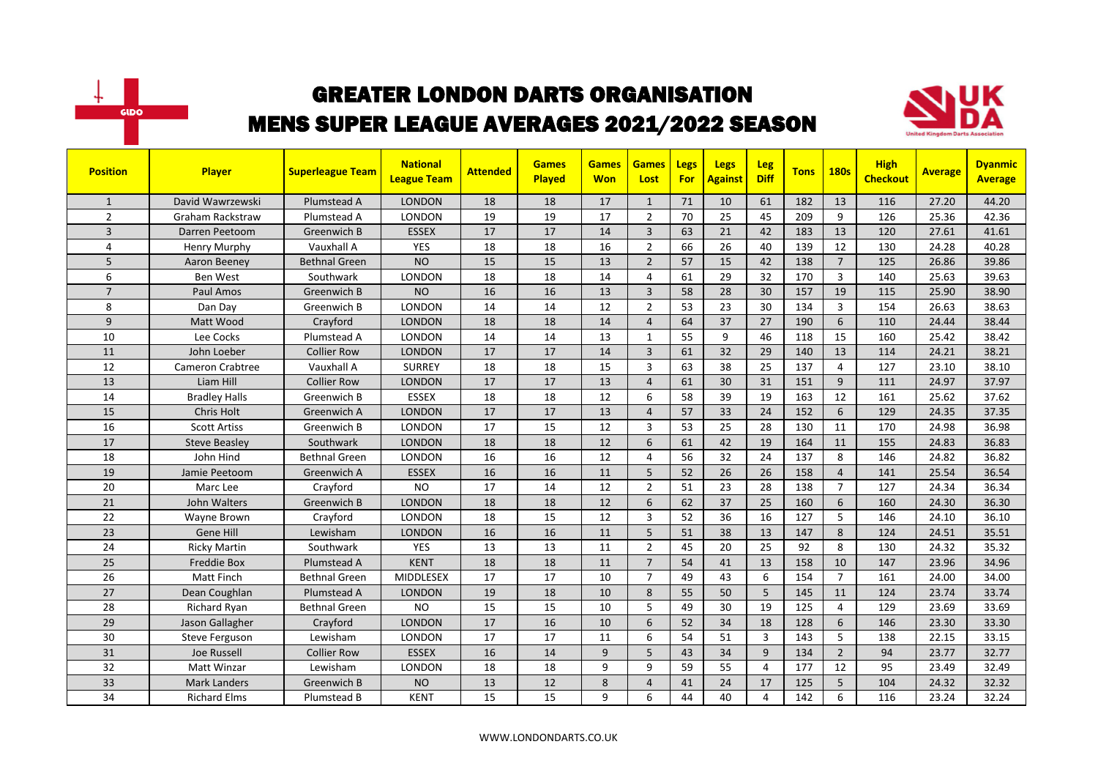



| <b>Position</b> | <b>Player</b>           | <b>Superleague Team</b> | <b>National</b><br><b>League Team</b> | <b>Attended</b> | <b>Games</b><br><b>Played</b> | <b>Games</b><br><b>Won</b> | <b>Games</b><br>Lost | Legs<br><b>For</b> | Legs<br><b>Against</b> | Leg<br><b>Diff</b> | <b>Tons</b> | <b>180s</b>    | <b>High</b><br><b>Checkout</b> | <b>Average</b> | <b>Dyanmic</b><br><b>Average</b> |
|-----------------|-------------------------|-------------------------|---------------------------------------|-----------------|-------------------------------|----------------------------|----------------------|--------------------|------------------------|--------------------|-------------|----------------|--------------------------------|----------------|----------------------------------|
| $\mathbf{1}$    | David Wawrzewski        | Plumstead A             | <b>LONDON</b>                         | 18              | 18                            | 17                         | $\mathbf{1}$         | 71                 | 10                     | 61                 | 182         | 13             | 116                            | 27.20          | 44.20                            |
| $\overline{2}$  | <b>Graham Rackstraw</b> | Plumstead A             | LONDON                                | 19              | 19                            | 17                         | $\overline{2}$       | 70                 | 25                     | 45                 | 209         | 9              | 126                            | 25.36          | 42.36                            |
| 3               | Darren Peetoom          | Greenwich B             | <b>ESSEX</b>                          | 17              | 17                            | 14                         | 3                    | 63                 | 21                     | 42                 | 183         | 13             | 120                            | 27.61          | 41.61                            |
| 4               | Henry Murphy            | Vauxhall A              | YES                                   | 18              | 18                            | 16                         | $\overline{2}$       | 66                 | 26                     | 40                 | 139         | 12             | 130                            | 24.28          | 40.28                            |
| 5               | Aaron Beeney            | Bethnal Green           | <b>NO</b>                             | 15              | 15                            | 13                         | $\overline{2}$       | 57                 | 15                     | 42                 | 138         | $\overline{7}$ | 125                            | 26.86          | 39.86                            |
| 6               | Ben West                | Southwark               | <b>LONDON</b>                         | 18              | 18                            | 14                         | $\overline{4}$       | 61                 | 29                     | 32                 | 170         | 3              | 140                            | 25.63          | 39.63                            |
| $\overline{7}$  | Paul Amos               | Greenwich B             | <b>NO</b>                             | 16              | 16                            | 13                         | $\overline{3}$       | 58                 | 28                     | 30                 | 157         | 19             | 115                            | 25.90          | 38.90                            |
| 8               | Dan Day                 | Greenwich B             | <b>LONDON</b>                         | 14              | 14                            | 12                         | $\overline{2}$       | 53                 | 23                     | 30                 | 134         | 3              | 154                            | 26.63          | 38.63                            |
| 9               | Matt Wood               | Crayford                | <b>LONDON</b>                         | 18              | 18                            | 14                         | $\overline{4}$       | 64                 | 37                     | 27                 | 190         | 6              | 110                            | 24.44          | 38.44                            |
| 10              | Lee Cocks               | Plumstead A             | LONDON                                | 14              | 14                            | 13                         | $\mathbf{1}$         | 55                 | 9                      | 46                 | 118         | 15             | 160                            | 25.42          | 38.42                            |
| 11              | John Loeber             | <b>Collier Row</b>      | <b>LONDON</b>                         | 17              | 17                            | 14                         | $\overline{3}$       | 61                 | 32                     | 29                 | 140         | 13             | 114                            | 24.21          | 38.21                            |
| 12              | <b>Cameron Crabtree</b> | Vauxhall A              | <b>SURREY</b>                         | 18              | 18                            | 15                         | $\overline{3}$       | 63                 | 38                     | 25                 | 137         | 4              | 127                            | 23.10          | 38.10                            |
| 13              | Liam Hill               | <b>Collier Row</b>      | <b>LONDON</b>                         | 17              | 17                            | 13                         | $\overline{4}$       | 61                 | 30                     | 31                 | 151         | 9              | 111                            | 24.97          | 37.97                            |
| 14              | <b>Bradley Halls</b>    | Greenwich B             | <b>ESSEX</b>                          | 18              | 18                            | 12                         | 6                    | 58                 | 39                     | 19                 | 163         | 12             | 161                            | 25.62          | 37.62                            |
| 15              | Chris Holt              | Greenwich A             | <b>LONDON</b>                         | 17              | $\overline{17}$               | 13                         | $\overline{a}$       | 57                 | 33                     | 24                 | 152         | 6              | 129                            | 24.35          | 37.35                            |
| 16              | <b>Scott Artiss</b>     | Greenwich B             | LONDON                                | 17              | 15                            | 12                         | $\overline{3}$       | 53                 | 25                     | 28                 | 130         | 11             | 170                            | 24.98          | 36.98                            |
| 17              | <b>Steve Beasley</b>    | Southwark               | <b>LONDON</b>                         | 18              | 18                            | 12                         | 6                    | 61                 | 42                     | 19                 | 164         | 11             | 155                            | 24.83          | 36.83                            |
| 18              | John Hind               | <b>Bethnal Green</b>    | LONDON                                | 16              | 16                            | 12                         | 4                    | 56                 | 32                     | 24                 | 137         | 8              | 146                            | 24.82          | 36.82                            |
| 19              | Jamie Peetoom           | Greenwich A             | <b>ESSEX</b>                          | 16              | 16                            | 11                         | 5                    | 52                 | 26                     | 26                 | 158         | $\overline{4}$ | 141                            | 25.54          | 36.54                            |
| 20              | Marc Lee                | Crayford                | <b>NO</b>                             | 17              | 14                            | 12                         | $\overline{2}$       | 51                 | 23                     | 28                 | 138         | $\overline{7}$ | 127                            | 24.34          | 36.34                            |
| 21              | John Walters            | Greenwich B             | <b>LONDON</b>                         | 18              | 18                            | 12                         | 6                    | 62                 | 37                     | 25                 | 160         | 6              | 160                            | 24.30          | 36.30                            |
| 22              | Wayne Brown             | Crayford                | <b>LONDON</b>                         | 18              | 15                            | 12                         | $\overline{3}$       | 52                 | 36                     | 16                 | 127         | 5              | 146                            | 24.10          | 36.10                            |
| 23              | Gene Hill               | Lewisham                | <b>LONDON</b>                         | 16              | 16                            | 11                         | 5                    | 51                 | 38                     | 13                 | 147         | 8              | 124                            | 24.51          | 35.51                            |
| 24              | <b>Ricky Martin</b>     | Southwark               | <b>YES</b>                            | 13              | 13                            | 11                         | $\overline{2}$       | 45                 | 20                     | 25                 | 92          | 8              | 130                            | 24.32          | 35.32                            |
| 25              | <b>Freddie Box</b>      | Plumstead A             | <b>KENT</b>                           | 18              | 18                            | 11                         | $\overline{7}$       | 54                 | 41                     | 13                 | 158         | 10             | 147                            | 23.96          | 34.96                            |
| 26              | Matt Finch              | <b>Bethnal Green</b>    | <b>MIDDLESEX</b>                      | 17              | 17                            | 10                         | $\overline{7}$       | 49                 | 43                     | 6                  | 154         | $\overline{7}$ | 161                            | 24.00          | 34.00                            |
| 27              | Dean Coughlan           | Plumstead A             | <b>LONDON</b>                         | 19              | 18                            | 10                         | 8                    | 55                 | 50                     | 5                  | 145         | 11             | 124                            | 23.74          | 33.74                            |
| 28              | Richard Ryan            | <b>Bethnal Green</b>    | <b>NO</b>                             | 15              | 15                            | 10                         | 5                    | 49                 | 30                     | 19                 | 125         | $\overline{4}$ | 129                            | 23.69          | 33.69                            |
| 29              | Jason Gallagher         | Crayford                | <b>LONDON</b>                         | 17              | 16                            | 10                         | 6                    | 52                 | 34                     | 18                 | 128         | 6              | 146                            | 23.30          | 33.30                            |
| 30              | Steve Ferguson          | Lewisham                | LONDON                                | 17              | $\overline{17}$               | 11                         | 6                    | 54                 | 51                     | 3                  | 143         | 5              | 138                            | 22.15          | 33.15                            |
| 31              | <b>Joe Russell</b>      | <b>Collier Row</b>      | <b>ESSEX</b>                          | 16              | 14                            | 9                          | 5                    | 43                 | 34                     | 9                  | 134         | $\overline{2}$ | 94                             | 23.77          | 32.77                            |
| 32              | Matt Winzar             | Lewisham                | LONDON                                | 18              | 18                            | 9                          | 9                    | 59                 | 55                     | 4                  | 177         | 12             | 95                             | 23.49          | 32.49                            |
| 33              | Mark Landers            | Greenwich B             | <b>NO</b>                             | 13              | 12                            | 8                          | $\overline{4}$       | 41                 | 24                     | 17                 | 125         | 5              | 104                            | 24.32          | 32.32                            |
| 34              | <b>Richard Elms</b>     | Plumstead B             | <b>KENT</b>                           | 15              | 15                            | 9                          | 6                    | 44                 | 40                     | $\overline{4}$     | 142         | 6              | 116                            | 23.24          | 32.24                            |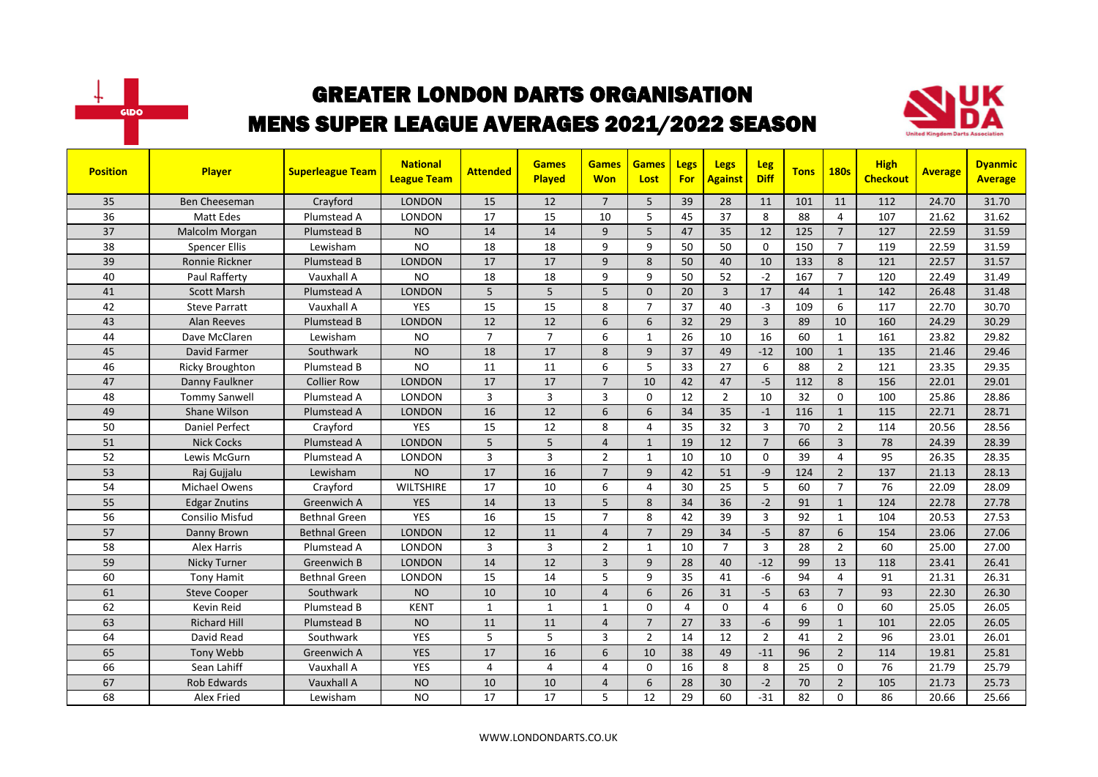



| <b>Position</b> | Player                 | <b>Superleague Team</b> | <b>National</b><br><b>League Team</b> | <b>Attended</b> | <b>Games</b><br><b>Played</b> | <b>Games</b><br><b>Won</b> | <b>Games</b><br>Lost | <b>Legs</b><br>For | <b>Legs</b><br><b>Against</b> | <b>Leg</b><br><b>Diff</b> | <b>Tons</b> | <b>180s</b>    | <b>High</b><br><b>Checkout</b> | <b>Average</b> | <b>Dyanmic</b><br><b>Average</b> |
|-----------------|------------------------|-------------------------|---------------------------------------|-----------------|-------------------------------|----------------------------|----------------------|--------------------|-------------------------------|---------------------------|-------------|----------------|--------------------------------|----------------|----------------------------------|
| 35              | <b>Ben Cheeseman</b>   | Crayford                | <b>LONDON</b>                         | 15              | 12                            | $\overline{7}$             | 5                    | 39                 | 28                            | 11                        | 101         | 11             | 112                            | 24.70          | 31.70                            |
| 36              | <b>Matt Edes</b>       | Plumstead A             | <b>LONDON</b>                         | 17              | 15                            | 10                         | 5                    | 45                 | 37                            | 8                         | 88          | 4              | 107                            | 21.62          | 31.62                            |
| 37              | Malcolm Morgan         | Plumstead B             | <b>NO</b>                             | 14              | 14                            | 9                          | 5                    | 47                 | 35                            | 12                        | 125         | $\overline{7}$ | 127                            | 22.59          | 31.59                            |
| 38              | <b>Spencer Ellis</b>   | Lewisham                | <b>NO</b>                             | 18              | 18                            | 9                          | 9                    | 50                 | 50                            | $\Omega$                  | 150         | $\overline{7}$ | 119                            | 22.59          | 31.59                            |
| 39              | Ronnie Rickner         | Plumstead B             | <b>LONDON</b>                         | 17              | 17                            | 9                          | 8                    | 50                 | 40                            | 10                        | 133         | 8              | 121                            | 22.57          | 31.57                            |
| 40              | Paul Rafferty          | Vauxhall A              | <b>NO</b>                             | 18              | 18                            | 9                          | 9                    | 50                 | 52                            | $-2$                      | 167         | $\overline{7}$ | 120                            | 22.49          | 31.49                            |
| 41              | <b>Scott Marsh</b>     | Plumstead A             | LONDON                                | 5               | 5                             | 5                          | $\Omega$             | 20                 | $\overline{3}$                | 17                        | 44          | $\mathbf{1}$   | 142                            | 26.48          | 31.48                            |
| 42              | <b>Steve Parratt</b>   | Vauxhall A              | <b>YES</b>                            | 15              | 15                            | 8                          | $\overline{7}$       | 37                 | 40                            | $-3$                      | 109         | 6              | 117                            | 22.70          | 30.70                            |
| 43              | <b>Alan Reeves</b>     | Plumstead B             | <b>LONDON</b>                         | 12              | 12                            | 6                          | 6                    | 32                 | 29                            | $\overline{3}$            | 89          | 10             | 160                            | 24.29          | 30.29                            |
| 44              | Dave McClaren          | Lewisham                | <b>NO</b>                             | $\overline{7}$  | $\overline{7}$                | 6                          | $\mathbf{1}$         | 26                 | 10                            | 16                        | 60          | $\mathbf{1}$   | 161                            | 23.82          | 29.82                            |
| 45              | David Farmer           | Southwark               | <b>NO</b>                             | 18              | 17                            | 8                          | 9                    | 37                 | 49                            | $-12$                     | 100         | $\mathbf{1}$   | 135                            | 21.46          | 29.46                            |
| 46              | <b>Ricky Broughton</b> | Plumstead B             | <b>NO</b>                             | 11              | 11                            | 6                          | 5                    | 33                 | 27                            | 6                         | 88          | $\overline{2}$ | 121                            | 23.35          | 29.35                            |
| 47              | Danny Faulkner         | <b>Collier Row</b>      | <b>LONDON</b>                         | 17              | 17                            | $\overline{7}$             | 10                   | 42                 | 47                            | $-5$                      | 112         | 8              | 156                            | 22.01          | 29.01                            |
| 48              | <b>Tommy Sanwell</b>   | Plumstead A             | <b>LONDON</b>                         | 3               | $\overline{3}$                | 3                          | $\Omega$             | 12                 | $\overline{2}$                | 10                        | 32          | $\mathbf{0}$   | 100                            | 25.86          | 28.86                            |
| 49              | Shane Wilson           | Plumstead A             | <b>LONDON</b>                         | 16              | 12                            | 6                          | 6                    | 34                 | 35                            | $-1$                      | 116         | $\mathbf{1}$   | 115                            | 22.71          | 28.71                            |
| 50              | <b>Daniel Perfect</b>  | Crayford                | <b>YES</b>                            | 15              | 12                            | 8                          | $\overline{4}$       | 35                 | 32                            | 3                         | 70          | $\overline{2}$ | 114                            | 20.56          | 28.56                            |
| 51              | <b>Nick Cocks</b>      | Plumstead A             | <b>LONDON</b>                         | 5               | 5                             | $\overline{4}$             | $\mathbf{1}$         | 19                 | 12                            | $\overline{7}$            | 66          | $\overline{3}$ | 78                             | 24.39          | 28.39                            |
| 52              | Lewis McGurn           | Plumstead A             | <b>LONDON</b>                         | $\overline{3}$  | $\overline{3}$                | $\overline{2}$             | $\mathbf{1}$         | 10                 | 10                            | $\Omega$                  | 39          | $\overline{4}$ | 95                             | 26.35          | 28.35                            |
| 53              | Raj Gujjalu            | Lewisham                | <b>NO</b>                             | 17              | 16                            | $\overline{7}$             | 9                    | 42                 | 51                            | $-9$                      | 124         | $\overline{2}$ | 137                            | 21.13          | 28.13                            |
| 54              | Michael Owens          | Crayford                | <b>WILTSHIRE</b>                      | 17              | 10                            | 6                          | 4                    | 30                 | 25                            | 5                         | 60          | $\overline{7}$ | 76                             | 22.09          | 28.09                            |
| 55              | <b>Edgar Znutins</b>   | Greenwich A             | <b>YES</b>                            | 14              | 13                            | 5                          | 8                    | 34                 | 36                            | $-2$                      | 91          | $\mathbf{1}$   | 124                            | 22.78          | 27.78                            |
| 56              | Consilio Misfud        | <b>Bethnal Green</b>    | <b>YES</b>                            | 16              | 15                            | $\overline{7}$             | 8                    | 42                 | 39                            | $\overline{3}$            | 92          | $\mathbf{1}$   | 104                            | 20.53          | 27.53                            |
| 57              | Danny Brown            | Bethnal Green           | <b>LONDON</b>                         | 12              | 11                            | $\overline{4}$             | $\overline{7}$       | 29                 | 34                            | $-5$                      | 87          | 6              | 154                            | 23.06          | 27.06                            |
| 58              | Alex Harris            | Plumstead A             | <b>LONDON</b>                         | 3               | $\overline{3}$                | $\overline{2}$             | $\mathbf{1}$         | 10                 | $\overline{7}$                | $\overline{3}$            | 28          | $\overline{2}$ | 60                             | 25.00          | 27.00                            |
| 59              | <b>Nicky Turner</b>    | Greenwich B             | <b>LONDON</b>                         | 14              | 12                            | $\overline{3}$             | 9                    | 28                 | 40                            | $-12$                     | 99          | 13             | 118                            | 23.41          | 26.41                            |
| 60              | <b>Tony Hamit</b>      | <b>Bethnal Green</b>    | <b>LONDON</b>                         | 15              | 14                            | 5                          | 9                    | 35                 | 41                            | $-6$                      | 94          | 4              | 91                             | 21.31          | 26.31                            |
| 61              | <b>Steve Cooper</b>    | Southwark               | <b>NO</b>                             | 10              | 10                            | $\overline{4}$             | 6                    | 26                 | 31                            | $-5$                      | 63          | $\overline{7}$ | 93                             | 22.30          | 26.30                            |
| 62              | Kevin Reid             | Plumstead B             | <b>KENT</b>                           | 1               | $\mathbf{1}$                  | 1                          | $\mathbf 0$          | 4                  | 0                             | 4                         | 6           | $\mathbf 0$    | 60                             | 25.05          | 26.05                            |
| 63              | <b>Richard Hill</b>    | Plumstead B             | <b>NO</b>                             | 11              | 11                            | $\overline{4}$             | $\overline{7}$       | 27                 | 33                            | $-6$                      | 99          | $\mathbf{1}$   | 101                            | 22.05          | 26.05                            |
| 64              | David Read             | Southwark               | <b>YES</b>                            | 5               | 5                             | 3                          | $\overline{2}$       | 14                 | 12                            | $\overline{2}$            | 41          | $\overline{2}$ | 96                             | 23.01          | 26.01                            |
| 65              | <b>Tony Webb</b>       | Greenwich A             | <b>YES</b>                            | 17              | 16                            | 6                          | 10                   | 38                 | 49                            | $-11$                     | 96          | $\overline{2}$ | 114                            | 19.81          | 25.81                            |
| 66              | Sean Lahiff            | Vauxhall A              | <b>YES</b>                            | 4               | $\overline{4}$                | 4                          | $\mathbf 0$          | 16                 | 8                             | 8                         | 25          | $\mathbf 0$    | 76                             | 21.79          | 25.79                            |
| 67              | <b>Rob Edwards</b>     | Vauxhall A              | <b>NO</b>                             | 10              | 10                            | $\overline{4}$             | 6                    | 28                 | 30                            | $-2$                      | 70          | $\overline{2}$ | 105                            | 21.73          | 25.73                            |
| 68              | Alex Fried             | Lewisham                | <b>NO</b>                             | 17              | 17                            | 5                          | 12                   | 29                 | 60                            | $-31$                     | 82          | $\Omega$       | 86                             | 20.66          | 25.66                            |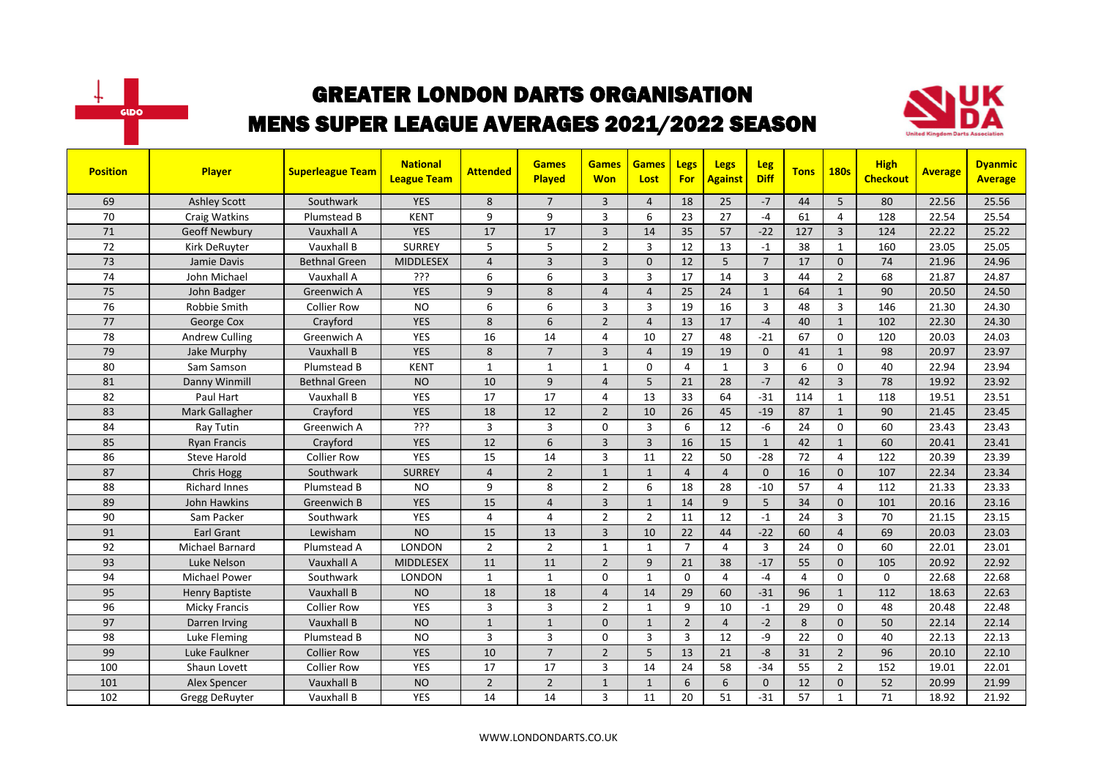



| <b>Position</b> | Player                | <b>Superleague Team</b> | <b>National</b><br><b>League Team</b> | <b>Attended</b> | <b>Games</b><br>Played | <b>Games</b><br><b>Won</b> | <b>Games</b><br>Lost | Legs<br>For    | Legs<br><b>Against</b> | Leg<br><b>Diff</b> | <b>Tons</b>    | <b>180s</b>    | <b>High</b><br><b>Checkout</b> | <b>Average</b> | <b>Dyanmic</b><br><b>Average</b> |
|-----------------|-----------------------|-------------------------|---------------------------------------|-----------------|------------------------|----------------------------|----------------------|----------------|------------------------|--------------------|----------------|----------------|--------------------------------|----------------|----------------------------------|
| 69              | <b>Ashley Scott</b>   | Southwark               | <b>YES</b>                            | 8               | $\overline{7}$         | 3                          | $\overline{4}$       | 18             | 25                     | $-7$               | 44             | 5              | 80                             | 22.56          | 25.56                            |
| 70              | Craig Watkins         | Plumstead B             | <b>KENT</b>                           | 9               | 9                      | 3                          | 6                    | 23             | 27                     | $-4$               | 61             | 4              | 128                            | 22.54          | 25.54                            |
| 71              | <b>Geoff Newbury</b>  | Vauxhall A              | <b>YES</b>                            | 17              | 17                     | 3                          | 14                   | 35             | 57                     | $-22$              | 127            | 3              | 124                            | 22.22          | 25.22                            |
| 72              | Kirk DeRuyter         | Vauxhall B              | <b>SURREY</b>                         | 5               | 5                      | $\overline{2}$             | $\overline{3}$       | 12             | 13                     | $-1$               | 38             | $\mathbf{1}$   | 160                            | 23.05          | 25.05                            |
| 73              | Jamie Davis           | Bethnal Green           | <b>MIDDLESEX</b>                      | $\overline{4}$  | $\overline{3}$         | $\overline{3}$             | $\Omega$             | 12             | 5                      | $\overline{7}$     | 17             | $\mathbf{0}$   | 74                             | 21.96          | 24.96                            |
| 74              | John Michael          | Vauxhall A              | ???                                   | 6               | 6                      | 3                          | $\overline{3}$       | 17             | 14                     | 3                  | 44             | $\overline{2}$ | 68                             | 21.87          | 24.87                            |
| 75              | John Badger           | Greenwich A             | <b>YES</b>                            | 9               | 8                      | $\overline{4}$             | $\overline{4}$       | 25             | 24                     | $\mathbf{1}$       | 64             | $\mathbf{1}$   | 90                             | 20.50          | 24.50                            |
| 76              | Robbie Smith          | <b>Collier Row</b>      | <b>NO</b>                             | 6               | 6                      | 3                          | 3                    | 19             | 16                     | 3                  | 48             | 3              | 146                            | 21.30          | 24.30                            |
| 77              | George Cox            | Crayford                | <b>YES</b>                            | 8               | 6                      | $\overline{2}$             | $\overline{4}$       | 13             | 17                     | $-4$               | 40             | $\mathbf{1}$   | 102                            | 22.30          | 24.30                            |
| 78              | <b>Andrew Culling</b> | Greenwich A             | YES                                   | 16              | 14                     | 4                          | 10                   | 27             | 48                     | $-21$              | 67             | $\mathbf 0$    | 120                            | 20.03          | 24.03                            |
| 79              | Jake Murphy           | Vauxhall B              | <b>YES</b>                            | 8               | $\overline{7}$         | 3                          | $\overline{4}$       | 19             | 19                     | $\Omega$           | 41             | $\mathbf{1}$   | 98                             | 20.97          | 23.97                            |
| 80              | Sam Samson            | Plumstead B             | <b>KENT</b>                           | $\mathbf{1}$    | $\mathbf{1}$           | $\mathbf{1}$               | $\Omega$             | $\overline{4}$ | $\mathbf{1}$           | $\overline{3}$     | 6              | $\Omega$       | 40                             | 22.94          | 23.94                            |
| 81              | Danny Winmill         | <b>Bethnal Green</b>    | <b>NO</b>                             | 10              | 9                      | $\overline{4}$             | 5                    | 21             | 28                     | $-7$               | 42             | $\overline{3}$ | 78                             | 19.92          | 23.92                            |
| 82              | Paul Hart             | Vauxhall B              | <b>YES</b>                            | 17              | $\overline{17}$        | 4                          | 13                   | 33             | 64                     | $-31$              | 114            | $\mathbf{1}$   | 118                            | 19.51          | 23.51                            |
| 83              | Mark Gallagher        | Crayford                | <b>YES</b>                            | 18              | 12                     | $\overline{2}$             | 10                   | 26             | 45                     | $-19$              | 87             | $\mathbf{1}$   | 90                             | 21.45          | 23.45                            |
| 84              | Ray Tutin             | Greenwich A             | ???                                   | 3               | $\overline{3}$         | $\Omega$                   | 3                    | 6              | 12                     | $-6$               | 24             | $\mathbf 0$    | 60                             | 23.43          | 23.43                            |
| 85              | <b>Ryan Francis</b>   | Crayford                | <b>YES</b>                            | 12              | 6                      | $\overline{3}$             | $\overline{3}$       | 16             | 15                     | $\mathbf{1}$       | 42             | $\mathbf{1}$   | 60                             | 20.41          | 23.41                            |
| 86              | <b>Steve Harold</b>   | Collier Row             | YES                                   | 15              | 14                     | 3                          | 11                   | 22             | 50                     | $-28$              | 72             | 4              | 122                            | 20.39          | 23.39                            |
| 87              | <b>Chris Hogg</b>     | Southwark               | <b>SURREY</b>                         | $\overline{4}$  | $\overline{2}$         | $\mathbf{1}$               | $\mathbf{1}$         | $\overline{4}$ | $\overline{4}$         | $\Omega$           | 16             | $\mathbf{0}$   | 107                            | 22.34          | 23.34                            |
| 88              | <b>Richard Innes</b>  | Plumstead B             | <b>NO</b>                             | 9               | 8                      | $\overline{2}$             | 6                    | 18             | 28                     | $-10$              | 57             | 4              | 112                            | 21.33          | 23.33                            |
| 89              | <b>John Hawkins</b>   | Greenwich B             | <b>YES</b>                            | 15              | $\overline{4}$         | $\overline{3}$             | $\mathbf{1}$         | 14             | 9                      | $\overline{5}$     | 34             | $\pmb{0}$      | 101                            | 20.16          | 23.16                            |
| 90              | Sam Packer            | Southwark               | <b>YES</b>                            | 4               | $\overline{4}$         | $\overline{2}$             | $\overline{2}$       | 11             | 12                     | $-1$               | 24             | 3              | 70                             | 21.15          | 23.15                            |
| 91              | <b>Earl Grant</b>     | Lewisham                | <b>NO</b>                             | 15              | 13                     | 3                          | 10                   | 22             | 44                     | $-22$              | 60             | $\overline{4}$ | 69                             | 20.03          | 23.03                            |
| 92              | Michael Barnard       | Plumstead A             | LONDON                                | $\overline{2}$  | $\overline{2}$         | 1                          | 1                    | $\overline{7}$ | 4                      | 3                  | 24             | $\mathbf 0$    | 60                             | 22.01          | 23.01                            |
| 93              | Luke Nelson           | Vauxhall A              | <b>MIDDLESEX</b>                      | 11              | 11                     | $\overline{2}$             | 9                    | 21             | 38                     | $-17$              | 55             | $\mathbf{0}$   | 105                            | 20.92          | 22.92                            |
| 94              | <b>Michael Power</b>  | Southwark               | <b>LONDON</b>                         | $\mathbf{1}$    | $\mathbf{1}$           | $\Omega$                   | $\mathbf{1}$         | $\Omega$       | $\overline{4}$         | $-4$               | $\overline{4}$ | $\Omega$       | $\Omega$                       | 22.68          | 22.68                            |
| 95              | <b>Henry Baptiste</b> | Vauxhall B              | <b>NO</b>                             | 18              | 18                     | $\overline{4}$             | 14                   | 29             | 60                     | $-31$              | 96             | $\mathbf{1}$   | 112                            | 18.63          | 22.63                            |
| 96              | Micky Francis         | <b>Collier Row</b>      | <b>YES</b>                            | 3               | $\overline{3}$         | $\overline{2}$             | $\mathbf{1}$         | 9              | 10                     | $-1$               | 29             | 0              | 48                             | 20.48          | 22.48                            |
| 97              | Darren Irving         | Vauxhall B              | <b>NO</b>                             | $\mathbf{1}$    | $\mathbf{1}$           | $\overline{0}$             | $\mathbf{1}$         | $\overline{2}$ | $\overline{4}$         | $-2$               | 8              | $\mathbf{0}$   | 50                             | 22.14          | 22.14                            |
| 98              | Luke Fleming          | Plumstead B             | <b>NO</b>                             | 3               | $\overline{3}$         | 0                          | 3                    | 3              | 12                     | -9                 | 22             | $\mathbf 0$    | 40                             | 22.13          | 22.13                            |
| 99              | Luke Faulkner         | <b>Collier Row</b>      | <b>YES</b>                            | 10              | $\overline{7}$         | $\overline{2}$             | 5                    | 13             | 21                     | $-8$               | 31             | $\overline{2}$ | 96                             | 20.10          | 22.10                            |
| 100             | Shaun Lovett          | <b>Collier Row</b>      | YES                                   | 17              | 17                     | 3                          | 14                   | 24             | 58                     | $-34$              | 55             | $\overline{2}$ | 152                            | 19.01          | 22.01                            |
| 101             | Alex Spencer          | Vauxhall B              | <b>NO</b>                             | $\overline{2}$  | $\overline{2}$         | $\mathbf{1}$               | $\mathbf{1}$         | 6              | 6                      | $\mathbf{0}$       | 12             | $\mathbf 0$    | 52                             | 20.99          | 21.99                            |
| 102             | Gregg DeRuyter        | Vauxhall B              | YES                                   | 14              | 14                     | 3                          | 11                   | 20             | 51                     | $-31$              | 57             | $\mathbf{1}$   | 71                             | 18.92          | 21.92                            |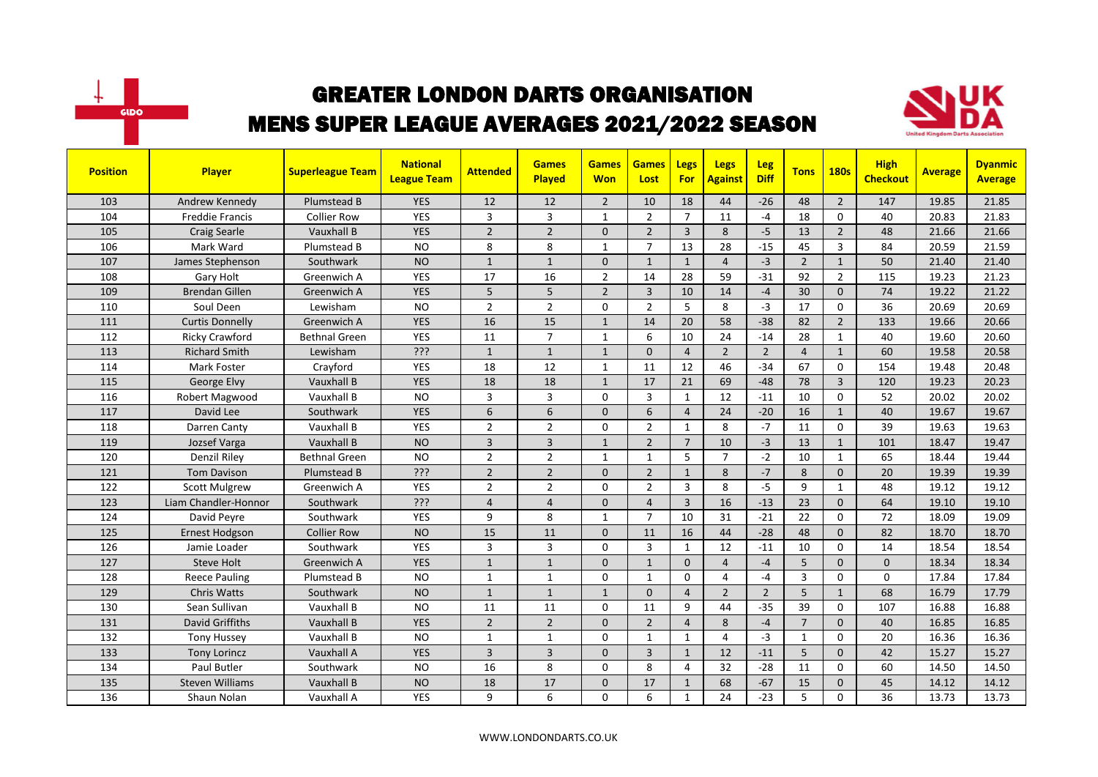



| <b>Position</b> | <b>Player</b>          | <b>Superleague Team</b> | <b>National</b><br><b>League Team</b> | <b>Attended</b> | <b>Games</b><br>Played | <b>Games</b><br><b>Won</b> | <b>Games</b><br>Lost | Legs<br><b>For</b> | Legs<br><b>Against</b> | Leg<br><b>Diff</b> | <b>Tons</b>    | <b>180s</b>    | <b>High</b><br><b>Checkout</b> | <b>Average</b> | <b>Dyanmic</b><br><b>Average</b> |
|-----------------|------------------------|-------------------------|---------------------------------------|-----------------|------------------------|----------------------------|----------------------|--------------------|------------------------|--------------------|----------------|----------------|--------------------------------|----------------|----------------------------------|
| 103             | Andrew Kennedy         | Plumstead B             | <b>YES</b>                            | 12              | 12                     | $\overline{2}$             | 10                   | 18                 | 44                     | $-26$              | 48             | $\overline{2}$ | 147                            | 19.85          | 21.85                            |
| 104             | <b>Freddie Francis</b> | <b>Collier Row</b>      | YES                                   | 3               | 3                      | $\mathbf{1}$               | $\overline{2}$       | $\overline{7}$     | 11                     | $-4$               | 18             | 0              | 40                             | 20.83          | 21.83                            |
| 105             | <b>Craig Searle</b>    | Vauxhall B              | <b>YES</b>                            | $\overline{2}$  | $\overline{2}$         | $\Omega$                   | $\overline{2}$       | $\overline{3}$     | 8                      | $-5$               | 13             | $\overline{2}$ | 48                             | 21.66          | 21.66                            |
| 106             | Mark Ward              | Plumstead B             | <b>NO</b>                             | 8               | 8                      | $\mathbf{1}$               | $\overline{7}$       | 13                 | 28                     | $-15$              | 45             | 3              | 84                             | 20.59          | 21.59                            |
| 107             | James Stephenson       | Southwark               | <b>NO</b>                             | $\mathbf{1}$    | $\mathbf{1}$           | $\Omega$                   | $\mathbf{1}$         | $\mathbf{1}$       | $\overline{4}$         | $-3$               | $\overline{2}$ | $\mathbf{1}$   | 50                             | 21.40          | 21.40                            |
| 108             | Gary Holt              | Greenwich A             | <b>YES</b>                            | 17              | 16                     | $\overline{2}$             | 14                   | 28                 | 59                     | $-31$              | 92             | $\overline{2}$ | 115                            | 19.23          | 21.23                            |
| 109             | <b>Brendan Gillen</b>  | Greenwich A             | <b>YES</b>                            | 5               | 5                      | $\overline{2}$             | $\overline{3}$       | 10                 | 14                     | $-4$               | 30             | $\mathbf{0}$   | 74                             | 19.22          | 21.22                            |
| 110             | Soul Deen              | Lewisham                | <b>NO</b>                             | $\overline{2}$  | $\overline{2}$         | 0                          | $\overline{2}$       | 5                  | 8                      | $-3$               | 17             | $\mathbf 0$    | 36                             | 20.69          | 20.69                            |
| 111             | <b>Curtis Donnelly</b> | Greenwich A             | <b>YES</b>                            | 16              | 15                     | $\mathbf{1}$               | 14                   | 20                 | 58                     | $-38$              | 82             | $\overline{2}$ | 133                            | 19.66          | 20.66                            |
| 112             | <b>Ricky Crawford</b>  | <b>Bethnal Green</b>    | YES                                   | 11              | $\overline{7}$         | $\mathbf{1}$               | 6                    | 10                 | 24                     | $-14$              | 28             | $\mathbf{1}$   | 40                             | 19.60          | 20.60                            |
| 113             | <b>Richard Smith</b>   | Lewisham                | ?ְרָי                                 | $\mathbf{1}$    | $\mathbf{1}$           | $\mathbf{1}$               | $\Omega$             | $\overline{4}$     | $\overline{2}$         | $\overline{2}$     | $\overline{4}$ | $\mathbf{1}$   | 60                             | 19.58          | 20.58                            |
| 114             | <b>Mark Foster</b>     | Crayford                | <b>YES</b>                            | 18              | 12                     | $\mathbf{1}$               | 11                   | 12                 | 46                     | $-34$              | 67             | $\Omega$       | 154                            | 19.48          | 20.48                            |
| 115             | George Elvy            | Vauxhall B              | <b>YES</b>                            | 18              | 18                     | $\mathbf{1}$               | 17                   | 21                 | 69                     | $-48$              | 78             | $\overline{3}$ | 120                            | 19.23          | 20.23                            |
| 116             | Robert Magwood         | Vauxhall B              | <b>NO</b>                             | $\overline{3}$  | $\overline{3}$         | $\Omega$                   | 3                    | $\mathbf{1}$       | 12                     | $-11$              | 10             | $\Omega$       | 52                             | 20.02          | 20.02                            |
| 117             | David Lee              | Southwark               | <b>YES</b>                            | 6               | 6                      | $\mathbf{0}$               | 6                    | $\overline{4}$     | 24                     | $-20$              | 16             | $\mathbf{1}$   | 40                             | 19.67          | 19.67                            |
| 118             | Darren Canty           | Vauxhall B              | <b>YES</b>                            | $\overline{2}$  | $\overline{2}$         | 0                          | $\overline{2}$       | $\mathbf{1}$       | 8                      | $-7$               | 11             | $\mathbf 0$    | 39                             | 19.63          | 19.63                            |
| 119             | Jozsef Varga           | Vauxhall B              | <b>NO</b>                             | $\overline{3}$  | $\overline{3}$         | $\mathbf{1}$               | $\overline{2}$       | $\overline{7}$     | 10                     | $-3$               | 13             | $\mathbf{1}$   | 101                            | 18.47          | 19.47                            |
| 120             | <b>Denzil Riley</b>    | <b>Bethnal Green</b>    | <b>NO</b>                             | $\overline{2}$  | $\overline{2}$         | 1                          | 1                    | 5                  | $\overline{7}$         | $-2$               | 10             | $\mathbf{1}$   | 65                             | 18.44          | 19.44                            |
| 121             | <b>Tom Davison</b>     | Plumstead B             | ???                                   | $\overline{2}$  | $\overline{2}$         | $\Omega$                   | $\overline{2}$       | $\mathbf{1}$       | 8                      | $-7$               | 8              | $\Omega$       | 20                             | 19.39          | 19.39                            |
| 122             | <b>Scott Mulgrew</b>   | Greenwich A             | <b>YES</b>                            | $\overline{2}$  | $\overline{2}$         | 0                          | $\overline{2}$       | $\overline{3}$     | 8                      | $-5$               | 9              | $\mathbf{1}$   | 48                             | 19.12          | 19.12                            |
| 123             | Liam Chandler-Honnor   | Southwark               | ?ְרָי                                 | $\overline{4}$  | $\overline{4}$         | $\mathbf{0}$               | $\overline{4}$       | $\overline{3}$     | 16                     | $-13$              | 23             | $\mathbf{0}$   | 64                             | 19.10          | 19.10                            |
| 124             | David Peyre            | Southwark               | <b>YES</b>                            | 9               | 8                      | 1                          | $\overline{7}$       | 10                 | 31                     | $-21$              | 22             | $\mathbf 0$    | 72                             | 18.09          | 19.09                            |
| 125             | Ernest Hodgson         | <b>Collier Row</b>      | <b>NO</b>                             | 15              | 11                     | $\mathbf{0}$               | 11                   | 16                 | 44                     | $-28$              | 48             | $\Omega$       | 82                             | 18.70          | 18.70                            |
| 126             | Jamie Loader           | Southwark               | <b>YES</b>                            | 3               | 3                      | 0                          | 3                    | $\mathbf{1}$       | 12                     | $-11$              | 10             | $\Omega$       | 14                             | 18.54          | 18.54                            |
| 127             | <b>Steve Holt</b>      | Greenwich A             | <b>YES</b>                            | $\mathbf{1}$    | $\mathbf{1}$           | $\Omega$                   | $\mathbf{1}$         | $\Omega$           | $\overline{4}$         | $-4$               | 5              | $\Omega$       | $\Omega$                       | 18.34          | 18.34                            |
| 128             | <b>Reece Pauling</b>   | Plumstead B             | <b>NO</b>                             | $\mathbf{1}$    | $\mathbf{1}$           | 0                          | 1                    | $\mathbf 0$        | 4                      | $-4$               | 3              | 0              | 0                              | 17.84          | 17.84                            |
| 129             | <b>Chris Watts</b>     | Southwark               | <b>NO</b>                             | $\mathbf{1}$    | $\overline{1}$         | $\mathbf{1}$               | $\Omega$             | $\overline{4}$     | $\overline{2}$         | $\overline{2}$     | 5              | $\mathbf{1}$   | 68                             | 16.79          | 17.79                            |
| 130             | Sean Sullivan          | Vauxhall B              | <b>NO</b>                             | 11              | 11                     | 0                          | 11                   | 9                  | 44                     | $-35$              | 39             | $\Omega$       | 107                            | 16.88          | 16.88                            |
| 131             | <b>David Griffiths</b> | Vauxhall B              | <b>YES</b>                            | $\overline{2}$  | $\overline{2}$         | $\Omega$                   | $\overline{2}$       | $\overline{4}$     | 8                      | $-4$               | $\overline{7}$ | $\Omega$       | 40                             | 16.85          | 16.85                            |
| 132             | <b>Tony Hussey</b>     | Vauxhall B              | <b>NO</b>                             | $\mathbf{1}$    | $\mathbf{1}$           | 0                          | $\mathbf{1}$         | $\mathbf{1}$       | $\overline{4}$         | $-3$               | $\mathbf{1}$   | $\Omega$       | 20                             | 16.36          | 16.36                            |
| 133             | <b>Tony Lorincz</b>    | Vauxhall A              | <b>YES</b>                            | 3               | 3                      | $\mathbf{0}$               | 3                    | $\mathbf{1}$       | 12                     | $-11$              | 5              | $\mathbf{0}$   | 42                             | 15.27          | 15.27                            |
| 134             | Paul Butler            | Southwark               | <b>NO</b>                             | 16              | 8                      | 0                          | 8                    | 4                  | 32                     | $-28$              | 11             | 0              | 60                             | 14.50          | 14.50                            |
| 135             | <b>Steven Williams</b> | Vauxhall B              | <b>NO</b>                             | 18              | 17                     | $\Omega$                   | 17                   | $\mathbf{1}$       | 68                     | $-67$              | 15             | $\mathbf 0$    | 45                             | 14.12          | 14.12                            |
| 136             | Shaun Nolan            | Vauxhall A              | <b>YES</b>                            | 9               | 6                      | 0                          | 6                    | $\mathbf{1}$       | 24                     | $-23$              | 5              | 0              | 36                             | 13.73          | 13.73                            |